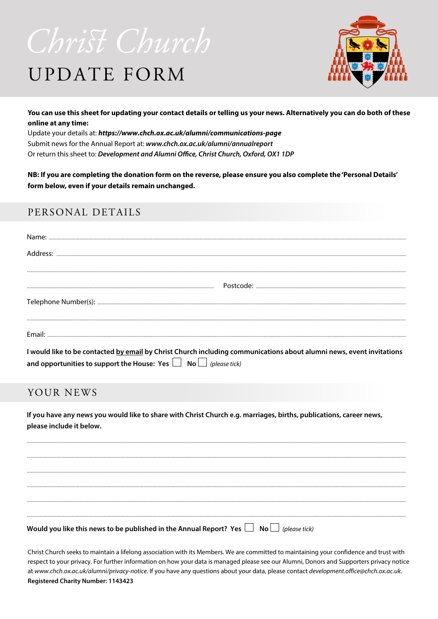## Christ Church

## **UPDATE FORM**



You can use this sheet for updating your contact details or telling us your news. Alternatively you can do both of these online at any time:

Update your details at: https://www.chch.ox.ac.uk/alumni/communications-page Submit news for the Annual Report at: www.chch.ox.ac.uk/alumni/annualreport Or return this sheet to: Development and Alumni Office, Christ Church, Oxford, OX1 1DP

NB: If you are completing the donation form on the reverse, please ensure you also complete the 'Personal Details' form below, even if your details remain unchanged.

#### PERSONAL DETAILS

| Name:                                                                                                                |
|----------------------------------------------------------------------------------------------------------------------|
| Address:                                                                                                             |
|                                                                                                                      |
|                                                                                                                      |
|                                                                                                                      |
|                                                                                                                      |
|                                                                                                                      |
| I would like to be contacted by email by Christ Church including communications about alumni news, event invitations |
| and opportunities to support the House: Yes $\Box$ No $\Box$ (please tick)                                           |

#### YOUR NEWS

If you have any news you would like to share with Christ Church e.g. marriages, births, publications, career news, please include it below.

Would you like this news to be published in the Annual Report? Yes  $\Box$  No  $\Box$  (please tick)

Christ Church seeks to maintain a lifelong association with its Members. We are committed to maintaining your confidence and trust with respect to your privacy. For further information on how your data is managed please see our Alumni, Donors and Supporters privacy notice at www.chch.ox.ac.uk/alumni/privacy-notice. If you have any questions about your data, please contact development.office@chch.ox.ac.uk. **Registered Charity Number: 1143423**